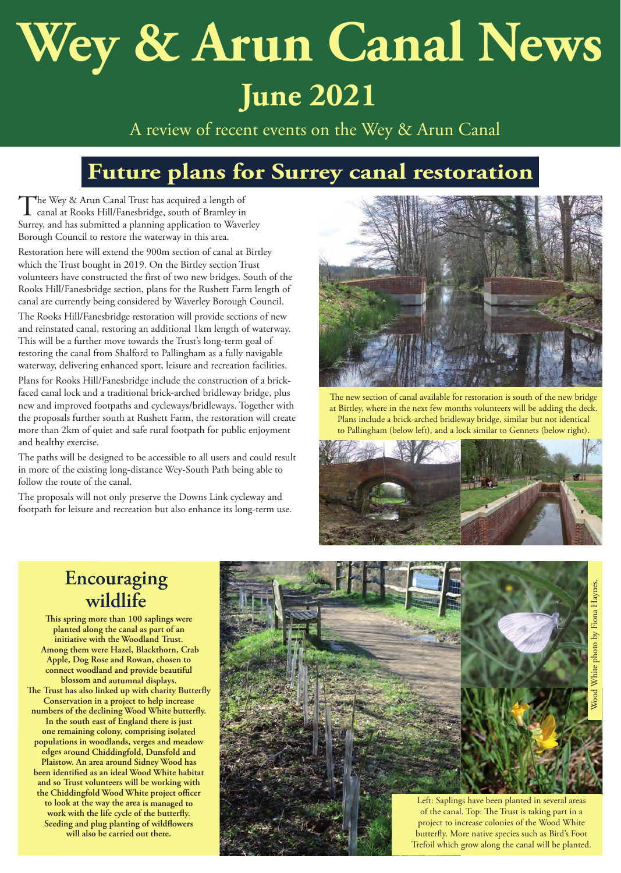# **Wey & Arun Canal News June 2021**

A review of recent events on the Wey & Arun Canal

### **Future plans for Surrey canal restoration**

The Wey & Arun Canal Trust has acquired a length of<br>canal at Rooks Hill/Fanesbridge, south of Bramley in Surrey, and has submitted a planning application to Waverley Borough Council to restore the waterway in this area.

Restoration here will extend the 900m section of canal at Birtley which the Trust bought in 2019. On the Birtley section Trust volunteers have constructed the first of two new bridges. South of the Rooks Hill/Fanesbridge section, plans for the Rushett Farm length of canal are currently being considered by Waverley Borough Council.

The Rooks Hill/Fanesbridge restoration will provide sections of new and reinstated canal, restoring an additional 1km length of waterway. This will be a further move towards the Trust's long-term goal of restoring the canal from Shalford to Pallingham as a fully navigable waterway, delivering enhanced sport, leisure and recreation facilities.

Plans for Rooks Hill/Fanesbridge include the construction of a brickfaced canal lock and a traditional brick-arched bridleway bridge, plus new and improved footpaths and cycleways/bridleways. Together with the proposals further south at Rushett Farm, the restoration will create more than 2km of quiet and safe rural footpath for public enjoyment and healthy exercise.

The paths will be designed to be accessible to all users and could result in more of the existing long-distance Wey-South Path being able to follow the route of the canal.

The proposals will not only preserve the Downs Link cycleway and footpath for leisure and recreation but also enhance its long-term use.



The new section of canal available for restoration is south of the new bridge at Birtley, where in the next few months volunteers will be adding the deck. Plans include a brick-arched bridleway bridge, similar but not identical to Pallingham (below left), and a lock similar to Gennets (below right).



#### **Encouraging wildlife**

**This spring more than 100 saplings were <sup>p</sup>lanted along the canal as part of an initiative with the Woodland Trust. Among them were Hazel, Blackthorn, Crab Apple, Dog Rose and Rowan, chosen to connect woodland and provide beautiful blossom and autumnal displays. The Trust has also linked up with charity Butterfly Conservation in a project to help increase numbers of the declining Wood White butterfly. In the south east of England there is just one remaining colony, comprising isolated populations in woodlands, verges and meadow edges around Chiddingfold, Dunsfold and Plaistow. An area around Sidney Wood has been identified as an ideal Wood White habitat and so Trust volunteers will be working with the Chiddingfold Wood White project officer to look at the way the area is managed to work with the life cycle of the butterfly. Seeding and plug planting of wildflowers will also be carried out there.**